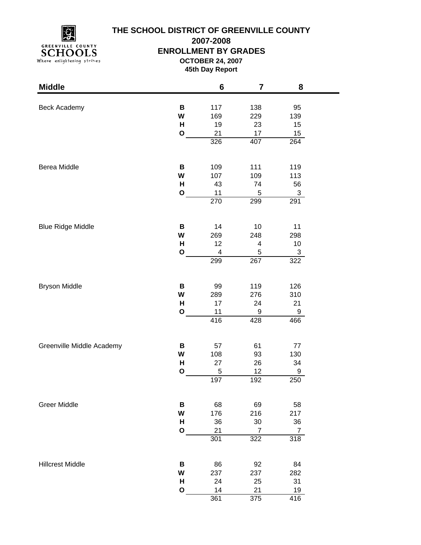

# **THE SCHOOL DISTRICT OF GREENVILLE COUNTY**

**2007-2008**

#### **ENROLLMENT BY GRADES**

**OCTOBER 24, 2007**

**45th Day Report**

| <b>Middle</b>             |              | 6                | 7              | 8                |  |
|---------------------------|--------------|------------------|----------------|------------------|--|
|                           |              |                  |                |                  |  |
| <b>Beck Academy</b>       | B            | 117              | 138            | 95               |  |
|                           | W            | 169              | 229            | 139              |  |
|                           | Н            | 19               | 23             | 15               |  |
|                           | $\mathbf O$  | 21               | 17             | 15               |  |
|                           |              | 326              | 407            | 264              |  |
| Berea Middle              | B            | 109              | 111            | 119              |  |
|                           | W            | 107              | 109            | 113              |  |
|                           | H            | 43               | 74             | 56               |  |
|                           | $\mathbf O$  | 11               | $\mathbf 5$    | $\sqrt{3}$       |  |
|                           |              | $\overline{270}$ | 299            | 291              |  |
|                           |              |                  |                |                  |  |
| <b>Blue Ridge Middle</b>  | В            | 14               | 10             | 11               |  |
|                           | W            | 269              | 248            | 298              |  |
|                           | H            | 12               | 4              | 10               |  |
|                           | $\mathbf{o}$ | 4                | $\,$ 5 $\,$    | 3                |  |
|                           |              | 299              | 267            | 322              |  |
|                           |              |                  |                |                  |  |
| <b>Bryson Middle</b>      | В            | 99               | 119            | 126              |  |
|                           | W            | 289              | 276            | 310              |  |
|                           | Н            | 17               | 24             | 21               |  |
|                           | $\mathbf{o}$ | 11               | 9              | 9                |  |
|                           |              | 416              | 428            | 466              |  |
|                           |              |                  |                |                  |  |
| Greenville Middle Academy | В            | 57               | 61             | 77               |  |
|                           | W            | 108              | 93             | 130              |  |
|                           | H            | 27               | 26             | 34               |  |
|                           | O            | 5                | 12             | 9                |  |
|                           |              | 197              | 192            | 250              |  |
| <b>Greer Middle</b>       | В            | 68               | 69             | 58               |  |
|                           | W            | 176              | 216            | 217              |  |
|                           | H            | 36               | 30             | 36               |  |
|                           | $\mathbf{o}$ | 21               | $\overline{7}$ | $\overline{7}$   |  |
|                           |              | 301              | 322            | 318              |  |
|                           |              |                  |                |                  |  |
| <b>Hillcrest Middle</b>   | B            | 86               | 92             | 84               |  |
|                           | W            | 237              | 237            | 282              |  |
|                           | H            | 24               | 25             | 31               |  |
|                           | O            | 14               | 21             | 19               |  |
|                           |              | 361              | 375            | $\overline{416}$ |  |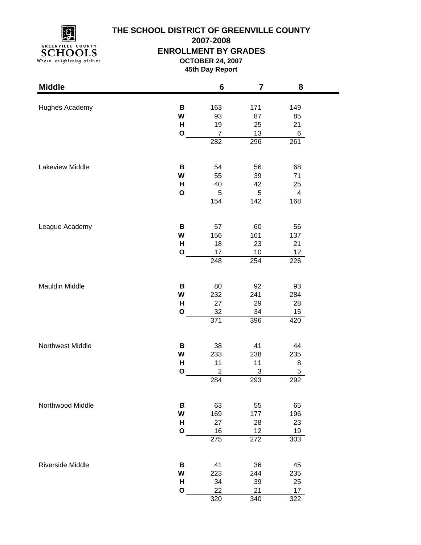

## **THE SCHOOL DISTRICT OF GREENVILLE COUNTY**

**2007-2008**

#### **ENROLLMENT BY GRADES**

**OCTOBER 24, 2007**

**45th Day Report**

| <b>Middle</b>    |              | $6\phantom{1}6$ | $\overline{\mathbf{7}}$ | 8               |
|------------------|--------------|-----------------|-------------------------|-----------------|
| Hughes Academy   | В            | 163             | 171                     | 149             |
|                  | W            | 93              | 87                      | 85              |
|                  | Н            | 19              | 25                      | 21              |
|                  | $\mathbf{o}$ | $\overline{7}$  | 13                      | 6               |
|                  |              | 282             | 296                     | 261             |
|                  |              |                 |                         |                 |
| Lakeview Middle  | В            | 54              | 56                      | 68              |
|                  | W            | 55              | 39                      | 71              |
|                  | н            | 40              | 42                      | 25              |
|                  | O            | $\mathbf 5$     | $\mathbf 5$             | $\overline{4}$  |
|                  |              | 154             | 142                     | 168             |
|                  |              |                 |                         |                 |
| League Academy   | В            | 57              | 60                      | 56              |
|                  | W            | 156             | 161                     | 137             |
|                  | н            | 18              | 23                      | 21              |
|                  | $\mathbf{o}$ | 17              | 10                      | 12 <sub>2</sub> |
|                  |              | 248             | 254                     | 226             |
|                  |              |                 |                         |                 |
| Mauldin Middle   | В            | 80              | 92                      | 93              |
|                  | W            | 232             | 241                     | 284             |
|                  | H            | 27              | 29                      | 28              |
|                  | O            | 32              | 34                      | 15              |
|                  |              | 371             | 396                     | 420             |
|                  |              |                 |                         |                 |
| Northwest Middle | В            | 38              | 41                      | 44              |
|                  | W            | 233             | 238                     | 235             |
|                  | Н            | 11              | 11                      | 8               |
|                  | $\mathbf{o}$ | $\overline{c}$  | 3                       | 5               |
|                  |              | 284             | 293                     | 292             |
|                  |              |                 |                         |                 |
| Northwood Middle | В            | 63              | 55                      | 65              |
|                  | W            | 169             | 177                     | 196             |
|                  | н            | 27              | 28                      | 23              |
|                  | O            | 16              | 12                      | 19              |
|                  |              | 275             | 272                     | 303             |
|                  |              |                 |                         |                 |
| Riverside Middle | В            | 41              | 36                      | 45              |
|                  | W            | 223             | 244                     | 235             |
|                  | Н            | 34              | 39                      | 25              |
|                  | O            | 22              | 21                      | 17              |
|                  |              | 320             | 340                     | 322             |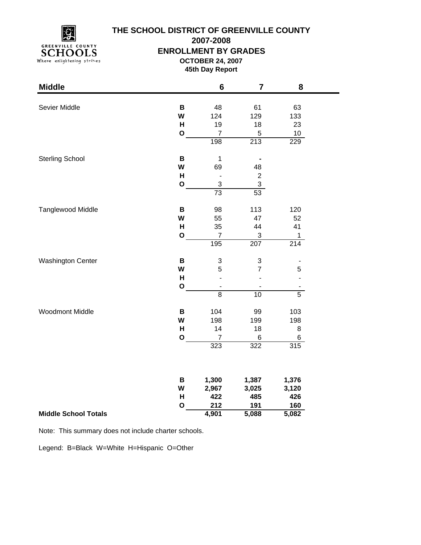

### **THE SCHOOL DISTRICT OF GREENVILLE COUNTY**

**2007-2008**

#### **ENROLLMENT BY GRADES**

**OCTOBER 24, 2007**

**45th Day Report**

۰

| <b>Middle</b>               |              | 6                         | $\overline{7}$           | 8                |
|-----------------------------|--------------|---------------------------|--------------------------|------------------|
|                             |              |                           |                          |                  |
| Sevier Middle               | B            | 48                        | 61                       | 63               |
|                             | W            | 124                       | 129                      | 133              |
|                             | H            | 19                        | 18                       | 23               |
|                             | $\mathbf 0$  | $\overline{7}$            | 5                        | 10               |
|                             |              | 198                       | 213                      | $\overline{229}$ |
| <b>Sterling School</b>      | B            | $\mathbf 1$               |                          |                  |
|                             | W            | 69                        | 48                       |                  |
|                             | H            | $\overline{a}$            | $\overline{\mathbf{c}}$  |                  |
|                             | $\mathbf{o}$ | $\ensuremath{\mathsf{3}}$ | $\overline{3}$           |                  |
|                             |              | 73                        | 53                       |                  |
| Tanglewood Middle           | B            | 98                        | 113                      | 120              |
|                             | W            | 55                        | 47                       | 52               |
|                             | H            | 35                        | 44                       | 41               |
|                             | $\mathbf 0$  | $\overline{7}$            | 3                        | 1                |
|                             |              | 195                       | 207                      | 214              |
| <b>Washington Center</b>    | B            | $\ensuremath{\mathsf{3}}$ | 3                        |                  |
|                             | W            | 5                         | $\overline{7}$           | 5                |
|                             | Н            |                           |                          |                  |
|                             | $\mathbf 0$  | $\overline{\phantom{a}}$  | $\overline{\phantom{a}}$ |                  |
|                             |              | $\overline{8}$            | 10                       | $\overline{5}$   |
| <b>Woodmont Middle</b>      | B            | 104                       | 99                       | 103              |
|                             | W            | 198                       | 199                      | 198              |
|                             | Н            | 14                        | 18                       | 8                |
|                             | $\mathbf 0$  | $\overline{7}$            | 6                        | 6                |
|                             |              | 323                       | 322                      | 315              |
|                             |              |                           |                          |                  |
|                             | B            | 1,300                     | 1,387                    | 1,376            |
|                             | W            | 2,967                     | 3,025                    | 3,120            |
|                             | H            | 422                       | 485                      | 426              |
|                             | $\mathbf{o}$ | 212                       | 191                      | 160              |
| <b>Middle School Totals</b> |              | 4,901                     | 5,088                    | 5,082            |

Note: This summary does not include charter schools.

Legend: B=Black W=White H=Hispanic O=Other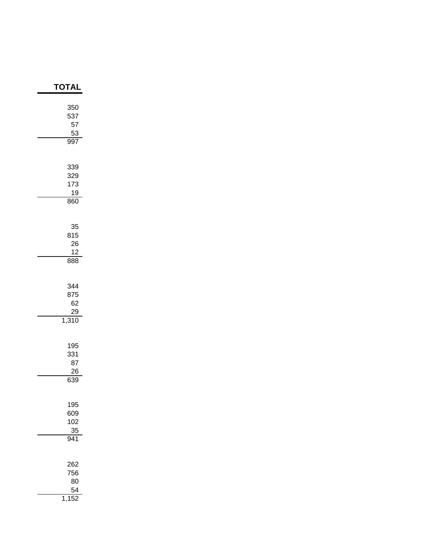| <b>TOTAL</b>                           |
|----------------------------------------|
| 350<br>537<br>57<br>$\frac{53}{997}$   |
| 339<br>329<br>173<br><u>19</u><br>860  |
| 35<br>815<br>26<br>12<br>888           |
| 344<br>875<br>62<br><u>29</u><br>1,310 |
| 195<br>331<br>87<br>26<br>639          |
| 195<br>609<br>102<br>$\frac{35}{941}$  |
| 262<br>756<br>80<br>54                 |

1,152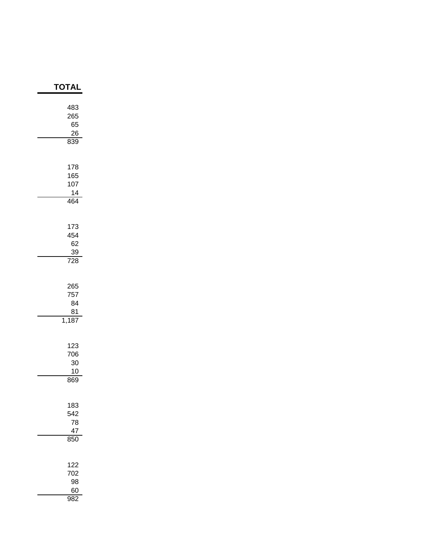| ΓΟΤΑΙ                                |
|--------------------------------------|
| 483<br>265<br>65<br>26<br>839        |
| 178<br>165<br>107<br>14<br>464       |
| 173<br>454<br>62<br>$\frac{39}{728}$ |
| 265<br>757<br>84<br>81<br>1,187      |
| 123<br>706<br>30<br>10<br>869        |
| 183<br>542<br>78<br>47<br>850        |
| 122<br>702<br>98<br>60<br>982        |